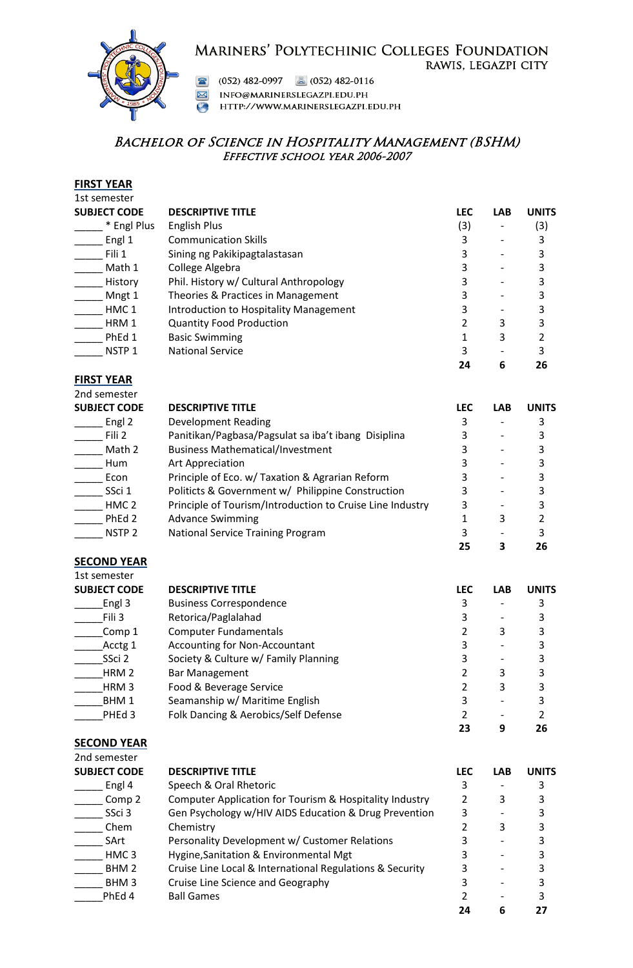## MARINERS' POLYTECHINIC COLLEGES FOUNDATION RAWIS, LEGAZPI CITY



(052) 482-0997 **a** (052) 482-0116

M INFO@MARINERSLEGAZPI.EDU.PH

HTTP://WWW.MARINERSLEGAZPI.EDU.PH

# BACHELOR OF SCIENCE IN HOSPITALITY MANAGEMENT (BSHM) Effective school year 2006-2007

#### **FIRST YEAR**

| 1st semester        |                                        |            |            |              |
|---------------------|----------------------------------------|------------|------------|--------------|
| <b>SUBJECT CODE</b> | <b>DESCRIPTIVE TITLE</b>               | <b>LEC</b> | <b>LAB</b> | <b>UNITS</b> |
| * Engl Plus         | <b>English Plus</b>                    | (3)        |            | (3)          |
| Engl 1              | <b>Communication Skills</b>            | 3          |            |              |
| Fili 1              | Sining ng Pakikipagtalastasan          | 3          |            |              |
| Math 1              | College Algebra                        |            |            |              |
| History             | Phil. History w/ Cultural Anthropology | 3          |            |              |
| Mngt 1              | Theories & Practices in Management     |            |            |              |
| HMC <sub>1</sub>    | Introduction to Hospitality Management | 3          |            |              |
| HRM 1               | <b>Quantity Food Production</b>        |            | 3          |              |
| PhEd 1              | <b>Basic Swimming</b>                  |            | 3          |              |
| NSTP <sub>1</sub>   | <b>National Service</b>                | 3          |            | ς            |
|                     |                                        | 24         | 6          | 26           |

## **FIRST YEAR**

2nd semester **SUBJECT CO** 

| ZIIU SEIIIESLEI     |                                                           |            |            |              |
|---------------------|-----------------------------------------------------------|------------|------------|--------------|
| <b>SUBJECT CODE</b> | <b>DESCRIPTIVE TITLE</b>                                  | <b>LEC</b> | <b>LAB</b> | <b>UNITS</b> |
| Engl 2              | Development Reading                                       | 3          |            |              |
| Fili 2              | Panitikan/Pagbasa/Pagsulat sa iba't ibang Disiplina       |            |            |              |
| Math 2              | <b>Business Mathematical/Investment</b>                   |            |            |              |
| Hum                 | Art Appreciation                                          |            |            |              |
| Econ                | Principle of Eco. w/ Taxation & Agrarian Reform           |            |            |              |
| SSci 1              | Politicts & Government w/ Philippine Construction         |            |            |              |
| HMC <sub>2</sub>    | Principle of Tourism/Introduction to Cruise Line Industry | 3          |            |              |
| PhEd 2              | <b>Advance Swimming</b>                                   |            | 3          |              |
| NSTP <sub>2</sub>   | National Service Training Program                         |            |            |              |
|                     |                                                           | 25         |            | 26           |

#### **SECOND YEAR**

| 1st semester        |                                      |            |            |              |
|---------------------|--------------------------------------|------------|------------|--------------|
| <b>SUBJECT CODE</b> | <b>DESCRIPTIVE TITLE</b>             | <b>LEC</b> | <b>LAB</b> | <b>UNITS</b> |
| Engl 3              | <b>Business Correspondence</b>       |            |            |              |
| Fili 3              | Retorica/Paglalahad                  |            |            |              |
| Comp 1              | <b>Computer Fundamentals</b>         |            | 3          |              |
| Acctg 1             | Accounting for Non-Accountant        | 3          |            |              |
| SSci 2              | Society & Culture w/ Family Planning |            |            |              |
| HRM <sub>2</sub>    | <b>Bar Management</b>                |            | 3          |              |
| HRM <sub>3</sub>    | Food & Beverage Service              |            | 3          |              |
| BHM <sub>1</sub>    | Seamanship w/ Maritime English       |            |            |              |
| PHEd 3              | Folk Dancing & Aerobics/Self Defense |            |            |              |
|                     |                                      | 23         | q          | 26           |

### **SECOND YEAR**

| 2nd semester        |                                                          |            |            |              |
|---------------------|----------------------------------------------------------|------------|------------|--------------|
| <b>SUBJECT CODE</b> | <b>DESCRIPTIVE TITLE</b>                                 | <b>LEC</b> | <b>LAB</b> | <b>UNITS</b> |
| Engl 4              | Speech & Oral Rhetoric                                   | 3          |            |              |
| Comp 2              | Computer Application for Tourism & Hospitality Industry  |            | 3          |              |
| SSci 3              | Gen Psychology w/HIV AIDS Education & Drug Prevention    | 3          |            |              |
| Chem                | Chemistry                                                |            | 3          |              |
| SArt                | Personality Development w/ Customer Relations            |            |            |              |
| HMC <sub>3</sub>    | Hygine, Sanitation & Environmental Mgt                   | 3          |            |              |
| BHM <sub>2</sub>    | Cruise Line Local & International Regulations & Security | 3          |            |              |
| BHM <sub>3</sub>    | Cruise Line Science and Geography                        |            |            |              |
| PhEd 4              | <b>Ball Games</b>                                        |            |            |              |
|                     |                                                          | 24         | 6          |              |